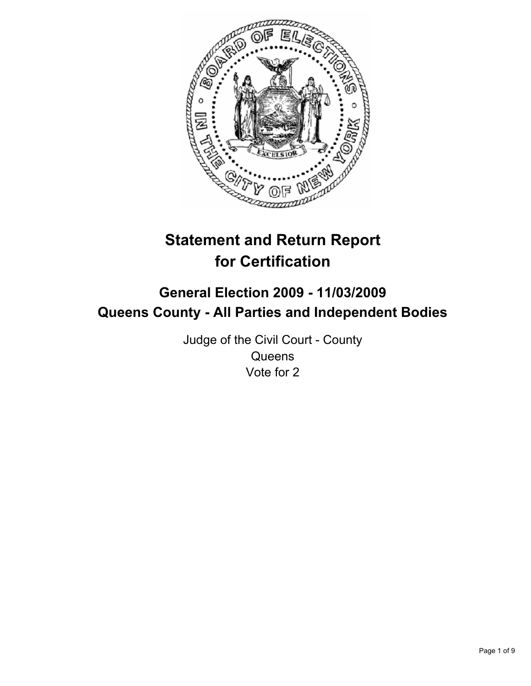

# **Statement and Return Report for Certification**

## **General Election 2009 - 11/03/2009 Queens County - All Parties and Independent Bodies**

Judge of the Civil Court - County **Queens** Vote for 2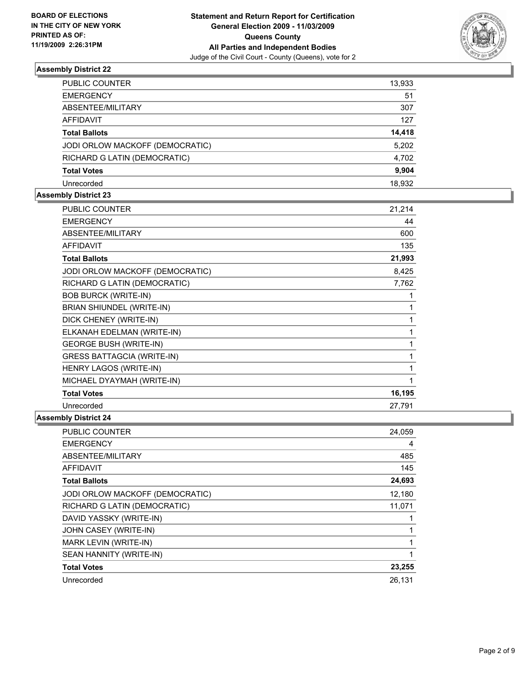

| PUBLIC COUNTER                  | 13,933 |
|---------------------------------|--------|
| <b>EMERGENCY</b>                | 51     |
| ABSENTEE/MILITARY               | 307    |
| <b>AFFIDAVIT</b>                | 127    |
| <b>Total Ballots</b>            | 14,418 |
| JODI ORLOW MACKOFF (DEMOCRATIC) | 5,202  |
| RICHARD G LATIN (DEMOCRATIC)    | 4,702  |
| <b>Total Votes</b>              | 9,904  |
| Unrecorded                      | 18.932 |

## **Assembly District 23**

| <b>PUBLIC COUNTER</b>             | 21,214 |
|-----------------------------------|--------|
| <b>EMERGENCY</b>                  | 44     |
| ABSENTEE/MILITARY                 | 600    |
| <b>AFFIDAVIT</b>                  | 135    |
| <b>Total Ballots</b>              | 21,993 |
| JODI ORLOW MACKOFF (DEMOCRATIC)   | 8,425  |
| RICHARD G LATIN (DEMOCRATIC)      | 7,762  |
| <b>BOB BURCK (WRITE-IN)</b>       | 1      |
| BRIAN SHIUNDEL (WRITE-IN)         | 1      |
| DICK CHENEY (WRITE-IN)            | 1      |
| ELKANAH EDELMAN (WRITE-IN)        | 1      |
| <b>GEORGE BUSH (WRITE-IN)</b>     | 1      |
| <b>GRESS BATTAGCIA (WRITE-IN)</b> | 1      |
| <b>HENRY LAGOS (WRITE-IN)</b>     | 1      |
| MICHAEL DYAYMAH (WRITE-IN)        | 1      |
| <b>Total Votes</b>                | 16,195 |
| Unrecorded                        | 27,791 |

| <b>PUBLIC COUNTER</b>           | 24,059 |
|---------------------------------|--------|
| <b>EMERGENCY</b>                | 4      |
| ABSENTEE/MILITARY               | 485    |
| <b>AFFIDAVIT</b>                | 145    |
| <b>Total Ballots</b>            | 24,693 |
| JODI ORLOW MACKOFF (DEMOCRATIC) | 12,180 |
| RICHARD G LATIN (DEMOCRATIC)    | 11,071 |
| DAVID YASSKY (WRITE-IN)         |        |
| JOHN CASEY (WRITE-IN)           |        |
| MARK LEVIN (WRITE-IN)           |        |
| SEAN HANNITY (WRITE-IN)         |        |
| <b>Total Votes</b>              | 23,255 |
| Unrecorded                      | 26.131 |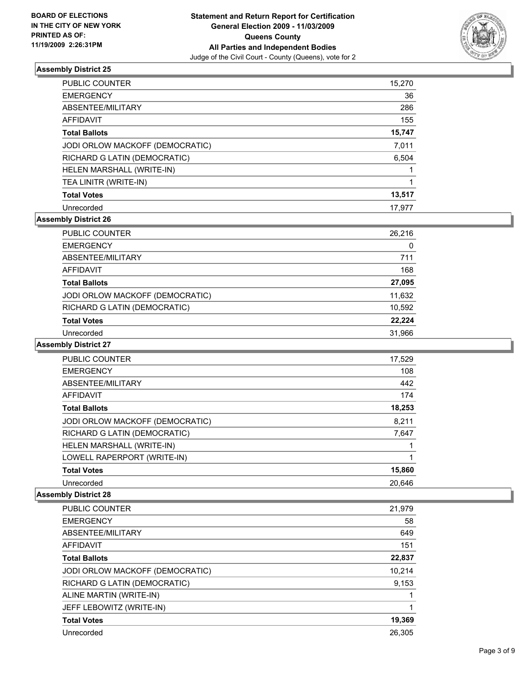

| <b>PUBLIC COUNTER</b>           | 15,270 |
|---------------------------------|--------|
| <b>EMERGENCY</b>                | 36     |
| ABSENTEE/MILITARY               | 286    |
| AFFIDAVIT                       | 155    |
| <b>Total Ballots</b>            | 15,747 |
| JODI ORLOW MACKOFF (DEMOCRATIC) | 7,011  |
| RICHARD G LATIN (DEMOCRATIC)    | 6,504  |
| HELEN MARSHALL (WRITE-IN)       |        |
| TEA LINITR (WRITE-IN)           |        |
| <b>Total Votes</b>              | 13,517 |
| Unrecorded                      | 17,977 |

## **Assembly District 26**

| PUBLIC COUNTER                  | 26,216 |
|---------------------------------|--------|
| <b>EMERGENCY</b>                | 0      |
| ABSENTEE/MILITARY               | 711    |
| <b>AFFIDAVIT</b>                | 168    |
| <b>Total Ballots</b>            | 27,095 |
| JODI ORLOW MACKOFF (DEMOCRATIC) | 11,632 |
| RICHARD G LATIN (DEMOCRATIC)    | 10,592 |
| <b>Total Votes</b>              | 22.224 |
| Unrecorded                      | 31,966 |

#### **Assembly District 27**

| PUBLIC COUNTER                  | 17,529 |
|---------------------------------|--------|
| <b>EMERGENCY</b>                | 108    |
| ABSENTEE/MILITARY               | 442    |
| AFFIDAVIT                       | 174    |
| <b>Total Ballots</b>            | 18,253 |
| JODI ORLOW MACKOFF (DEMOCRATIC) | 8,211  |
| RICHARD G LATIN (DEMOCRATIC)    | 7,647  |
| HELEN MARSHALL (WRITE-IN)       |        |
| LOWELL RAPERPORT (WRITE-IN)     |        |
| <b>Total Votes</b>              | 15,860 |
| Unrecorded                      | 20.646 |

| <b>PUBLIC COUNTER</b>           | 21,979 |
|---------------------------------|--------|
| <b>EMERGENCY</b>                | 58     |
| ABSENTEE/MILITARY               | 649    |
| <b>AFFIDAVIT</b>                | 151    |
| <b>Total Ballots</b>            | 22,837 |
| JODI ORLOW MACKOFF (DEMOCRATIC) | 10.214 |
| RICHARD G LATIN (DEMOCRATIC)    | 9,153  |
| ALINE MARTIN (WRITE-IN)         |        |
| JEFF LEBOWITZ (WRITE-IN)        |        |
| <b>Total Votes</b>              | 19,369 |
| Unrecorded                      | 26.305 |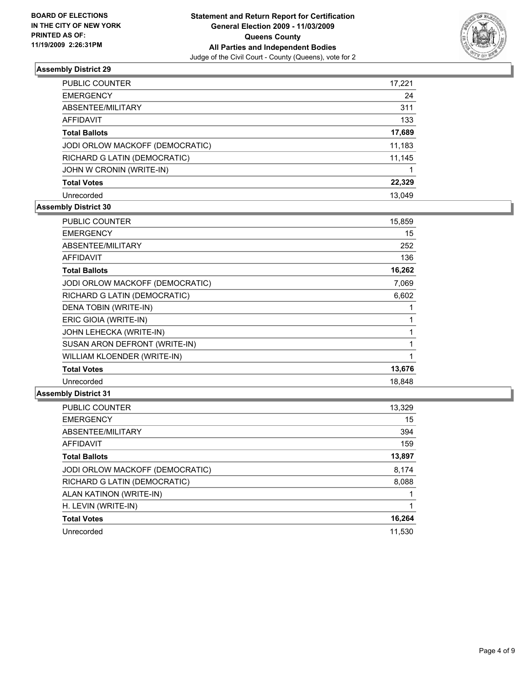

| PUBLIC COUNTER                  | 17,221 |
|---------------------------------|--------|
| <b>EMERGENCY</b>                | 24     |
| ABSENTEE/MILITARY               | 311    |
| <b>AFFIDAVIT</b>                | 133    |
| <b>Total Ballots</b>            | 17,689 |
| JODI ORLOW MACKOFF (DEMOCRATIC) | 11,183 |
| RICHARD G LATIN (DEMOCRATIC)    | 11,145 |
| JOHN W CRONIN (WRITE-IN)        |        |
| <b>Total Votes</b>              | 22,329 |
| Unrecorded                      | 13.049 |

## **Assembly District 30**

| <b>PUBLIC COUNTER</b>           | 15,859 |
|---------------------------------|--------|
| <b>EMERGENCY</b>                | 15     |
| ABSENTEE/MILITARY               | 252    |
| <b>AFFIDAVIT</b>                | 136    |
| <b>Total Ballots</b>            | 16,262 |
| JODI ORLOW MACKOFF (DEMOCRATIC) | 7,069  |
| RICHARD G LATIN (DEMOCRATIC)    | 6,602  |
| DENA TOBIN (WRITE-IN)           | 1      |
| ERIC GIOIA (WRITE-IN)           | 1      |
| JOHN LEHECKA (WRITE-IN)         | 1      |
| SUSAN ARON DEFRONT (WRITE-IN)   | 1      |
| WILLIAM KLOENDER (WRITE-IN)     | 1      |
| <b>Total Votes</b>              | 13,676 |
| Unrecorded                      | 18,848 |

| PUBLIC COUNTER                  | 13,329 |
|---------------------------------|--------|
| <b>EMERGENCY</b>                | 15     |
| ABSENTEE/MILITARY               | 394    |
| <b>AFFIDAVIT</b>                | 159    |
| <b>Total Ballots</b>            | 13,897 |
| JODI ORLOW MACKOFF (DEMOCRATIC) | 8,174  |
| RICHARD G LATIN (DEMOCRATIC)    | 8,088  |
| ALAN KATINON (WRITE-IN)         |        |
| H. LEVIN (WRITE-IN)             |        |
| <b>Total Votes</b>              | 16,264 |
| Unrecorded                      | 11.530 |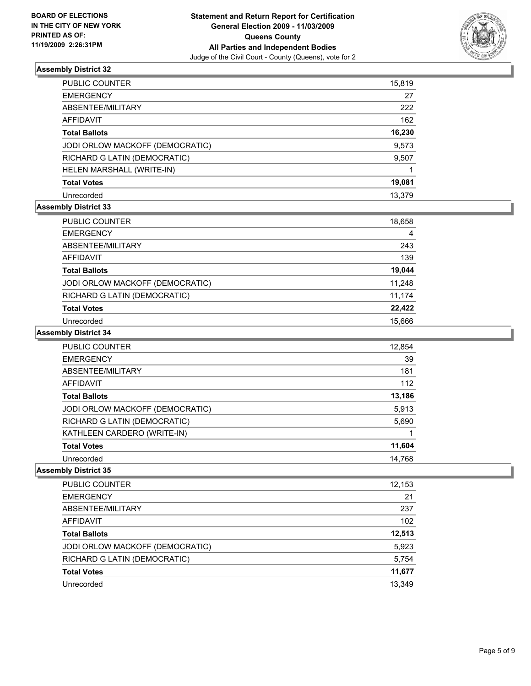

| PUBLIC COUNTER                  | 15,819 |
|---------------------------------|--------|
| EMERGENCY                       | 27     |
| ABSENTEE/MILITARY               | 222    |
| AFFIDAVIT                       | 162    |
| Total Ballots                   | 16,230 |
| JODI ORLOW MACKOFF (DEMOCRATIC) | 9,573  |
| RICHARD G LATIN (DEMOCRATIC)    | 9,507  |
| HELEN MARSHALL (WRITE-IN)       |        |
| <b>Total Votes</b>              | 19,081 |
| Unrecorded                      | 13.379 |

## **Assembly District 33**

| <b>PUBLIC COUNTER</b>           | 18,658 |
|---------------------------------|--------|
| <b>EMERGENCY</b>                | 4      |
| ABSENTEE/MILITARY               | 243    |
| AFFIDAVIT                       | 139    |
| <b>Total Ballots</b>            | 19,044 |
| JODI ORLOW MACKOFF (DEMOCRATIC) | 11,248 |
| RICHARD G LATIN (DEMOCRATIC)    | 11,174 |
| <b>Total Votes</b>              | 22,422 |
| Unrecorded                      | 15.666 |

#### **Assembly District 34**

| <b>PUBLIC COUNTER</b>           | 12,854 |
|---------------------------------|--------|
| <b>EMERGENCY</b>                | 39     |
| ABSENTEE/MILITARY               | 181    |
| AFFIDAVIT                       | 112    |
| <b>Total Ballots</b>            | 13,186 |
| JODI ORLOW MACKOFF (DEMOCRATIC) | 5,913  |
| RICHARD G LATIN (DEMOCRATIC)    | 5,690  |
| KATHLEEN CARDERO (WRITE-IN)     |        |
| <b>Total Votes</b>              | 11,604 |
| Unrecorded                      | 14.768 |

| PUBLIC COUNTER                  | 12,153 |
|---------------------------------|--------|
| <b>EMERGENCY</b>                | 21     |
| ABSENTEE/MILITARY               | 237    |
| <b>AFFIDAVIT</b>                | 102    |
| <b>Total Ballots</b>            | 12,513 |
| JODI ORLOW MACKOFF (DEMOCRATIC) | 5,923  |
| RICHARD G LATIN (DEMOCRATIC)    | 5,754  |
| <b>Total Votes</b>              | 11,677 |
| Unrecorded                      | 13.349 |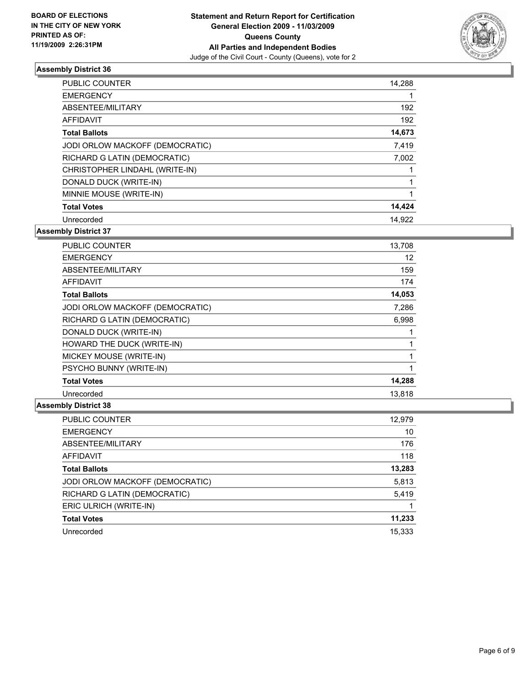

| <b>PUBLIC COUNTER</b>           | 14,288 |
|---------------------------------|--------|
| <b>EMERGENCY</b>                |        |
| ABSENTEE/MILITARY               | 192    |
| <b>AFFIDAVIT</b>                | 192    |
| <b>Total Ballots</b>            | 14,673 |
| JODI ORLOW MACKOFF (DEMOCRATIC) | 7,419  |
| RICHARD G LATIN (DEMOCRATIC)    | 7,002  |
| CHRISTOPHER LINDAHL (WRITE-IN)  |        |
| DONALD DUCK (WRITE-IN)          |        |
| MINNIE MOUSE (WRITE-IN)         | 1      |
| <b>Total Votes</b>              | 14,424 |
| Unrecorded                      | 14.922 |

**Assembly District 37**

| <b>PUBLIC COUNTER</b>           | 13,708 |
|---------------------------------|--------|
| <b>EMERGENCY</b>                | 12     |
| ABSENTEE/MILITARY               | 159    |
| AFFIDAVIT                       | 174    |
| <b>Total Ballots</b>            | 14,053 |
| JODI ORLOW MACKOFF (DEMOCRATIC) | 7,286  |
| RICHARD G LATIN (DEMOCRATIC)    | 6,998  |
| DONALD DUCK (WRITE-IN)          |        |
| HOWARD THE DUCK (WRITE-IN)      |        |
| MICKEY MOUSE (WRITE-IN)         |        |
| PSYCHO BUNNY (WRITE-IN)         | 1      |
| <b>Total Votes</b>              | 14,288 |
| Unrecorded                      | 13,818 |

| <b>PUBLIC COUNTER</b>           | 12,979 |
|---------------------------------|--------|
| <b>EMERGENCY</b>                | 10     |
| ABSENTEE/MILITARY               | 176    |
| AFFIDAVIT                       | 118    |
| <b>Total Ballots</b>            | 13,283 |
| JODI ORLOW MACKOFF (DEMOCRATIC) | 5,813  |
| RICHARD G LATIN (DEMOCRATIC)    | 5,419  |
| ERIC ULRICH (WRITE-IN)          |        |
| <b>Total Votes</b>              | 11,233 |
| Unrecorded                      | 15.333 |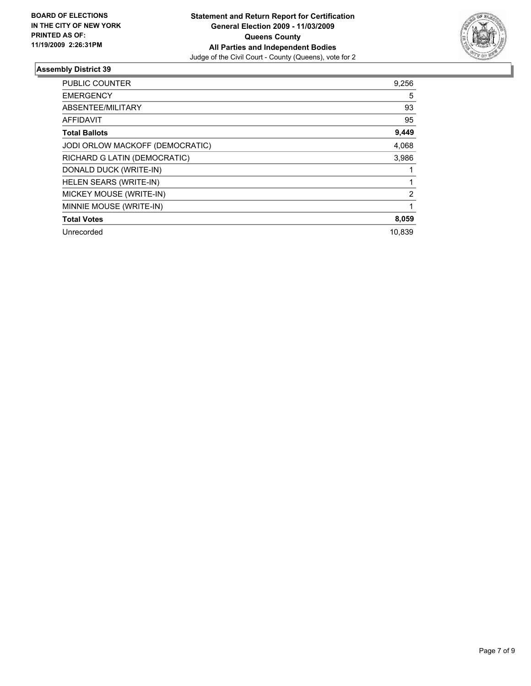

| <b>PUBLIC COUNTER</b>           | 9,256  |
|---------------------------------|--------|
| <b>EMERGENCY</b>                | 5      |
| ABSENTEE/MILITARY               | 93     |
| <b>AFFIDAVIT</b>                | 95     |
| <b>Total Ballots</b>            | 9,449  |
| JODI ORLOW MACKOFF (DEMOCRATIC) | 4,068  |
| RICHARD G LATIN (DEMOCRATIC)    | 3,986  |
| DONALD DUCK (WRITE-IN)          |        |
| <b>HELEN SEARS (WRITE-IN)</b>   | 1      |
| MICKEY MOUSE (WRITE-IN)         | 2      |
| MINNIE MOUSE (WRITE-IN)         |        |
| <b>Total Votes</b>              | 8,059  |
| Unrecorded                      | 10,839 |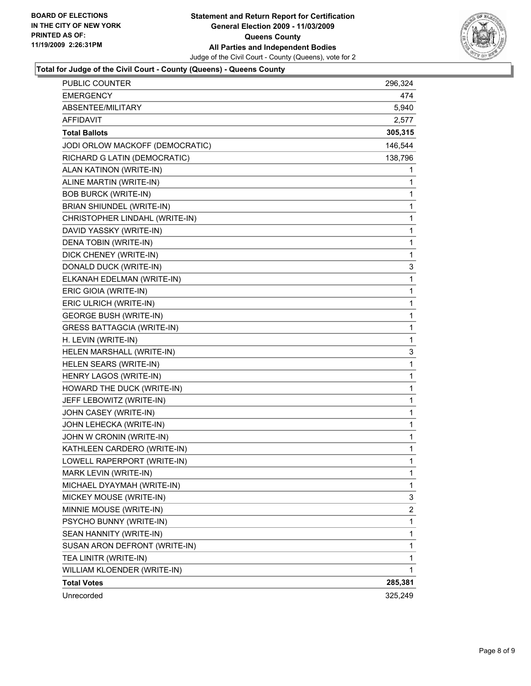

#### **Total for Judge of the Civil Court - County (Queens) - Queens County**

| Unrecorded                        | 325,249      |
|-----------------------------------|--------------|
| <b>Total Votes</b>                | 285,381      |
| WILLIAM KLOENDER (WRITE-IN)       | 1            |
| TEA LINITR (WRITE-IN)             | 1            |
| SUSAN ARON DEFRONT (WRITE-IN)     | 1            |
| SEAN HANNITY (WRITE-IN)           | 1            |
| PSYCHO BUNNY (WRITE-IN)           | 1            |
| MINNIE MOUSE (WRITE-IN)           | 2            |
| MICKEY MOUSE (WRITE-IN)           | 3            |
| MICHAEL DYAYMAH (WRITE-IN)        | 1            |
| MARK LEVIN (WRITE-IN)             | 1            |
| LOWELL RAPERPORT (WRITE-IN)       | 1            |
| KATHLEEN CARDERO (WRITE-IN)       | 1            |
| JOHN W CRONIN (WRITE-IN)          | 1            |
| JOHN LEHECKA (WRITE-IN)           | 1            |
| JOHN CASEY (WRITE-IN)             | $\mathbf{1}$ |
| JEFF LEBOWITZ (WRITE-IN)          | 1            |
| HOWARD THE DUCK (WRITE-IN)        | 1            |
| HENRY LAGOS (WRITE-IN)            | 1            |
| HELEN SEARS (WRITE-IN)            | 1            |
| HELEN MARSHALL (WRITE-IN)         | 3            |
| H. LEVIN (WRITE-IN)               | 1            |
| <b>GRESS BATTAGCIA (WRITE-IN)</b> | 1            |
| <b>GEORGE BUSH (WRITE-IN)</b>     | 1            |
| ERIC ULRICH (WRITE-IN)            | 1            |
| ERIC GIOIA (WRITE-IN)             | 1            |
| ELKANAH EDELMAN (WRITE-IN)        | 1            |
| DONALD DUCK (WRITE-IN)            | 3            |
| DICK CHENEY (WRITE-IN)            | 1            |
| DENA TOBIN (WRITE-IN)             | 1            |
| DAVID YASSKY (WRITE-IN)           | 1            |
| CHRISTOPHER LINDAHL (WRITE-IN)    | 1            |
| <b>BRIAN SHIUNDEL (WRITE-IN)</b>  | 1            |
| <b>BOB BURCK (WRITE-IN)</b>       | 1            |
| ALINE MARTIN (WRITE-IN)           | 1            |
| ALAN KATINON (WRITE-IN)           | 1            |
| RICHARD G LATIN (DEMOCRATIC)      | 138,796      |
| JODI ORLOW MACKOFF (DEMOCRATIC)   | 146,544      |
| <b>Total Ballots</b>              | 305,315      |
| AFFIDAVIT                         | 2,577        |
| ABSENTEE/MILITARY                 | 5,940        |
| <b>EMERGENCY</b>                  | 474          |
| <b>PUBLIC COUNTER</b>             | 296,324      |